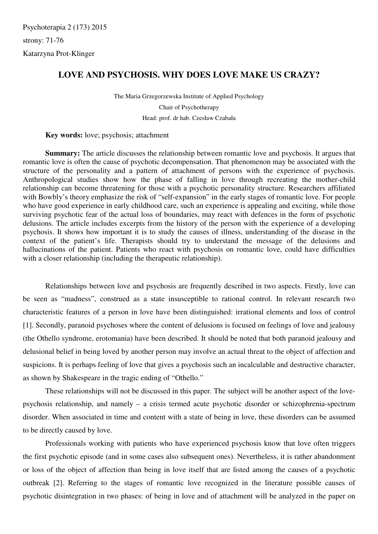Psychoterapia 2 (173) 2015 strony: 71-76 Katarzyna Prot-Klinger

## **LOVE AND PSYCHOSIS. WHY DOES LOVE MAKE US CRAZY?**

The Maria Grzegorzewska Institute of Applied Psychology Chair of Psychotherapy Head: prof. dr hab. Czesław Czabała

**Key words:** love; psychosis; attachment

 **Summary:** The article discusses the relationship between romantic love and psychosis. It argues that romantic love is often the cause of psychotic decompensation. That phenomenon may be associated with the structure of the personality and a pattern of attachment of persons with the experience of psychosis. Anthropological studies show how the phase of falling in love through recreating the mother-child relationship can become threatening for those with a psychotic personality structure. Researchers affiliated with Bowbly's theory emphasize the risk of "self-expansion" in the early stages of romantic love. For people who have good experience in early childhood care, such an experience is appealing and exciting, while those surviving psychotic fear of the actual loss of boundaries, may react with defences in the form of psychotic delusions. The article includes excerpts from the history of the person with the experience of a developing psychosis. It shows how important it is to study the causes of illness, understanding of the disease in the context of the patient's life. Therapists should try to understand the message of the delusions and hallucinations of the patient. Patients who react with psychosis on romantic love, could have difficulties with a closer relationship (including the therapeutic relationship).

 Relationships between love and psychosis are frequently described in two aspects. Firstly, love can be seen as "madness", construed as a state insusceptible to rational control. In relevant research two characteristic features of a person in love have been distinguished: irrational elements and loss of control [1]. Secondly, paranoid psychoses where the content of delusions is focused on feelings of love and jealousy (the Othello syndrome, erotomania) have been described. It should be noted that both paranoid jealousy and delusional belief in being loved by another person may involve an actual threat to the object of affection and suspicions. It is perhaps feeling of love that gives a psychosis such an incalculable and destructive character, as shown by Shakespeare in the tragic ending of "Othello."

These relationships will not be discussed in this paper. The subject will be another aspect of the lovepsychosis relationship, and namely – a crisis termed acute psychotic disorder or schizophrenia-spectrum disorder. When associated in time and content with a state of being in love, these disorders can be assumed to be directly caused by love.

Professionals working with patients who have experienced psychosis know that love often triggers the first psychotic episode (and in some cases also subsequent ones). Nevertheless, it is rather abandonment or loss of the object of affection than being in love itself that are listed among the causes of a psychotic outbreak [2]. Referring to the stages of romantic love recognized in the literature possible causes of psychotic disintegration in two phases: of being in love and of attachment will be analyzed in the paper on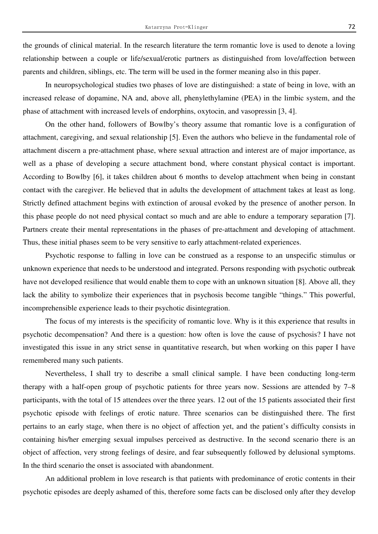the grounds of clinical material. In the research literature the term romantic love is used to denote a loving relationship between a couple or life/sexual/erotic partners as distinguished from love/affection between parents and children, siblings, etc. The term will be used in the former meaning also in this paper.

In neuropsychological studies two phases of love are distinguished: a state of being in love, with an increased release of dopamine, NA and, above all, phenylethylamine (PEA) in the limbic system, and the phase of attachment with increased levels of endorphins, oxytocin, and vasopressin [3, 4].

On the other hand, followers of Bowlby's theory assume that romantic love is a configuration of attachment, caregiving, and sexual relationship [5]. Even the authors who believe in the fundamental role of attachment discern a pre-attachment phase, where sexual attraction and interest are of major importance, as well as a phase of developing a secure attachment bond, where constant physical contact is important. According to Bowlby [6], it takes children about 6 months to develop attachment when being in constant contact with the caregiver. He believed that in adults the development of attachment takes at least as long. Strictly defined attachment begins with extinction of arousal evoked by the presence of another person. In this phase people do not need physical contact so much and are able to endure a temporary separation [7]. Partners create their mental representations in the phases of pre-attachment and developing of attachment. Thus, these initial phases seem to be very sensitive to early attachment-related experiences.

 Psychotic response to falling in love can be construed as a response to an unspecific stimulus or unknown experience that needs to be understood and integrated. Persons responding with psychotic outbreak have not developed resilience that would enable them to cope with an unknown situation [8]. Above all, they lack the ability to symbolize their experiences that in psychosis become tangible "things." This powerful, incomprehensible experience leads to their psychotic disintegration.

 The focus of my interests is the specificity of romantic love. Why is it this experience that results in psychotic decompensation? And there is a question: how often is love the cause of psychosis? I have not investigated this issue in any strict sense in quantitative research, but when working on this paper I have remembered many such patients.

 Nevertheless, I shall try to describe a small clinical sample. I have been conducting long-term therapy with a half-open group of psychotic patients for three years now. Sessions are attended by 7–8 participants, with the total of 15 attendees over the three years. 12 out of the 15 patients associated their first psychotic episode with feelings of erotic nature. Three scenarios can be distinguished there. The first pertains to an early stage, when there is no object of affection yet, and the patient's difficulty consists in containing his/her emerging sexual impulses perceived as destructive. In the second scenario there is an object of affection, very strong feelings of desire, and fear subsequently followed by delusional symptoms. In the third scenario the onset is associated with abandonment.

 An additional problem in love research is that patients with predominance of erotic contents in their psychotic episodes are deeply ashamed of this, therefore some facts can be disclosed only after they develop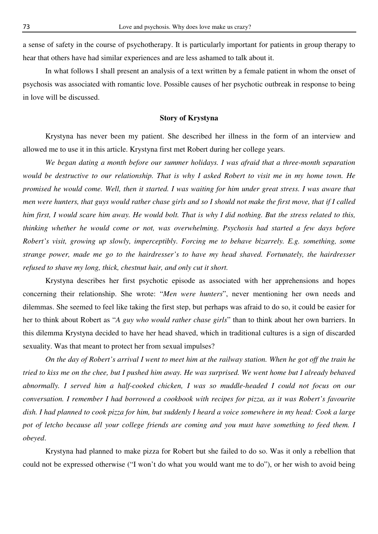a sense of safety in the course of psychotherapy. It is particularly important for patients in group therapy to hear that others have had similar experiences and are less ashamed to talk about it.

 In what follows I shall present an analysis of a text written by a female patient in whom the onset of psychosis was associated with romantic love. Possible causes of her psychotic outbreak in response to being in love will be discussed.

## **Story of Krystyna**

 Krystyna has never been my patient. She described her illness in the form of an interview and allowed me to use it in this article. Krystyna first met Robert during her college years.

*We began dating a month before our summer holidays. I was afraid that a three-month separation would be destructive to our relationship. That is why I asked Robert to visit me in my home town. He promised he would come. Well, then it started. I was waiting for him under great stress. I was aware that men were hunters, that guys would rather chase girls and so I should not make the first move, that if I called him first, I would scare him away. He would bolt. That is why I did nothing. But the stress related to this, thinking whether he would come or not, was overwhelming. Psychosis had started a few days before Robert's visit, growing up slowly, imperceptibly. Forcing me to behave bizarrely. E.g. something, some strange power, made me go to the hairdresser's to have my head shaved. Fortunately, the hairdresser refused to shave my long, thick, chestnut hair, and only cut it short.* 

 Krystyna describes her first psychotic episode as associated with her apprehensions and hopes concerning their relationship. She wrote: "*Men were hunters*", never mentioning her own needs and dilemmas. She seemed to feel like taking the first step, but perhaps was afraid to do so, it could be easier for her to think about Robert as "*A guy who would rather chase girls*" than to think about her own barriers. In this dilemma Krystyna decided to have her head shaved, which in traditional cultures is a sign of discarded sexuality. Was that meant to protect her from sexual impulses?

*On the day of Robert's arrival I went to meet him at the railway station. When he got off the train he tried to kiss me on the chee, but I pushed him away. He was surprised. We went home but I already behaved abnormally. I served him a half-cooked chicken, I was so muddle-headed I could not focus on our conversation. I remember I had borrowed a cookbook with recipes for pizza, as it was Robert's favourite dish. I had planned to cook pizza for him, but suddenly I heard a voice somewhere in my head: Cook a large*  pot of letcho because all your college friends are coming and you must have something to feed them. I *obeyed*.

 Krystyna had planned to make pizza for Robert but she failed to do so. Was it only a rebellion that could not be expressed otherwise ("I won't do what you would want me to do"), or her wish to avoid being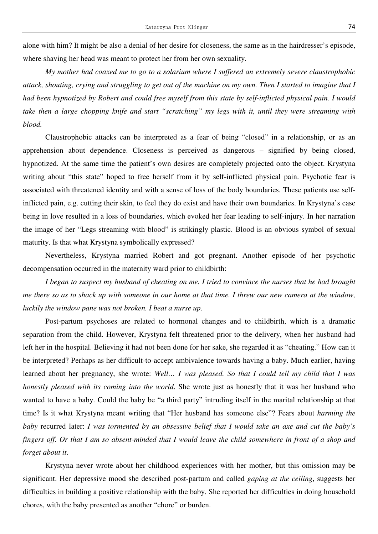alone with him? It might be also a denial of her desire for closeness, the same as in the hairdresser's episode, where shaving her head was meant to protect her from her own sexuality.

 *My mother had coaxed me to go to a solarium where I suffered an extremely severe claustrophobic attack, shouting, crying and struggling to get out of the machine on my own. Then I started to imagine that I had been hypnotized by Robert and could free myself from this state by self-inflicted physical pain. I would take then a large chopping knife and start "scratching" my legs with it, until they were streaming with blood.* 

Claustrophobic attacks can be interpreted as a fear of being "closed" in a relationship, or as an apprehension about dependence. Closeness is perceived as dangerous – signified by being closed, hypnotized. At the same time the patient's own desires are completely projected onto the object. Krystyna writing about "this state" hoped to free herself from it by self-inflicted physical pain. Psychotic fear is associated with threatened identity and with a sense of loss of the body boundaries. These patients use selfinflicted pain, e.g. cutting their skin, to feel they do exist and have their own boundaries. In Krystyna's case being in love resulted in a loss of boundaries, which evoked her fear leading to self-injury. In her narration the image of her "Legs streaming with blood" is strikingly plastic. Blood is an obvious symbol of sexual maturity. Is that what Krystyna symbolically expressed?

 Nevertheless, Krystyna married Robert and got pregnant. Another episode of her psychotic decompensation occurred in the maternity ward prior to childbirth:

 *I began to suspect my husband of cheating on me. I tried to convince the nurses that he had brought me there so as to shack up with someone in our home at that time. I threw our new camera at the window, luckily the window pane was not broken. I beat a nurse up*.

Post-partum psychoses are related to hormonal changes and to childbirth, which is a dramatic separation from the child. However, Krystyna felt threatened prior to the delivery, when her husband had left her in the hospital. Believing it had not been done for her sake, she regarded it as "cheating." How can it be interpreted? Perhaps as her difficult-to-accept ambivalence towards having a baby. Much earlier, having learned about her pregnancy, she wrote: *Well… I was pleased. So that I could tell my child that I was honestly pleased with its coming into the world*. She wrote just as honestly that it was her husband who wanted to have a baby. Could the baby be "a third party" intruding itself in the marital relationship at that time? Is it what Krystyna meant writing that "Her husband has someone else"? Fears about *harming the baby* recurred later: *I was tormented by an obsessive belief that I would take an axe and cut the baby's fingers off. Or that I am so absent-minded that I would leave the child somewhere in front of a shop and forget about it*.

Krystyna never wrote about her childhood experiences with her mother, but this omission may be significant. Her depressive mood she described post-partum and called *gaping at the ceiling*, suggests her difficulties in building a positive relationship with the baby. She reported her difficulties in doing household chores, with the baby presented as another "chore" or burden.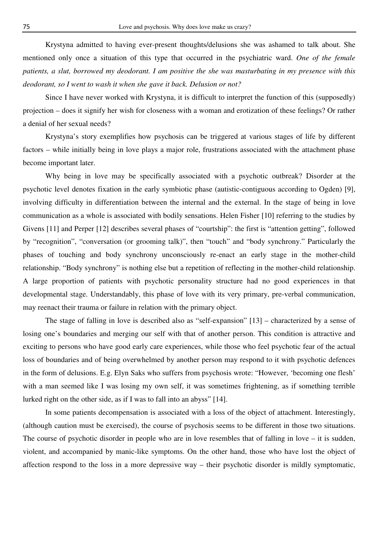Krystyna admitted to having ever-present thoughts/delusions she was ashamed to talk about. She mentioned only once a situation of this type that occurred in the psychiatric ward. *One of the female patients, a slut, borrowed my deodorant. I am positive the she was masturbating in my presence with this deodorant, so I went to wash it when she gave it back. Delusion or not?* 

Since I have never worked with Krystyna, it is difficult to interpret the function of this (supposedly) projection – does it signify her wish for closeness with a woman and erotization of these feelings? Or rather a denial of her sexual needs?

 Krystyna's story exemplifies how psychosis can be triggered at various stages of life by different factors – while initially being in love plays a major role, frustrations associated with the attachment phase become important later.

Why being in love may be specifically associated with a psychotic outbreak? Disorder at the psychotic level denotes fixation in the early symbiotic phase (autistic-contiguous according to Ogden) [9], involving difficulty in differentiation between the internal and the external. In the stage of being in love communication as a whole is associated with bodily sensations. Helen Fisher [10] referring to the studies by Givens [11] and Perper [12] describes several phases of "courtship": the first is "attention getting", followed by "recognition", "conversation (or grooming talk)", then "touch" and "body synchrony." Particularly the phases of touching and body synchrony unconsciously re-enact an early stage in the mother-child relationship. "Body synchrony" is nothing else but a repetition of reflecting in the mother-child relationship. A large proportion of patients with psychotic personality structure had no good experiences in that developmental stage. Understandably, this phase of love with its very primary, pre-verbal communication, may reenact their trauma or failure in relation with the primary object.

 The stage of falling in love is described also as "self-expansion" [13] – characterized by a sense of losing one's boundaries and merging our self with that of another person. This condition is attractive and exciting to persons who have good early care experiences, while those who feel psychotic fear of the actual loss of boundaries and of being overwhelmed by another person may respond to it with psychotic defences in the form of delusions. E.g. Elyn Saks who suffers from psychosis wrote: "However, 'becoming one flesh' with a man seemed like I was losing my own self, it was sometimes frightening, as if something terrible lurked right on the other side, as if I was to fall into an abyss" [14].

In some patients decompensation is associated with a loss of the object of attachment. Interestingly, (although caution must be exercised), the course of psychosis seems to be different in those two situations. The course of psychotic disorder in people who are in love resembles that of falling in love – it is sudden, violent, and accompanied by manic-like symptoms. On the other hand, those who have lost the object of affection respond to the loss in a more depressive way – their psychotic disorder is mildly symptomatic,